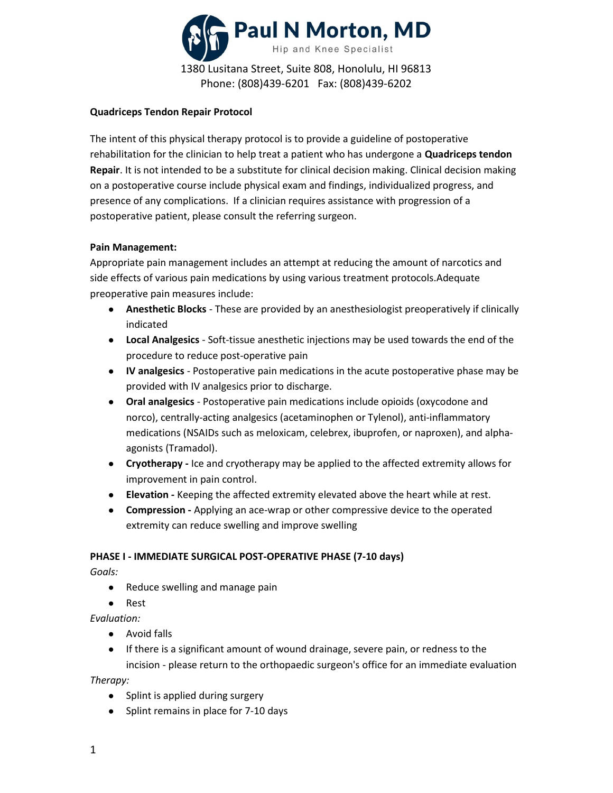

## Quadriceps Tendon Repair Protocol

The intent of this physical therapy protocol is to provide a guideline of postoperative rehabilitation for the clinician to help treat a patient who has undergone a Quadriceps tendon Repair. It is not intended to be a substitute for clinical decision making. Clinical decision making on a postoperative course include physical exam and findings, individualized progress, and presence of any complications. If a clinician requires assistance with progression of a postoperative patient, please consult the referring surgeon.

# Pain Management:

Appropriate pain management includes an attempt at reducing the amount of narcotics and side effects of various pain medications by using various treatment protocols.Adequate preoperative pain measures include:

- Anesthetic Blocks These are provided by an anesthesiologist preoperatively if clinically indicated
- Local Analgesics Soft-tissue anesthetic injections may be used towards the end of the procedure to reduce post-operative pain
- IV analgesics Postoperative pain medications in the acute postoperative phase may be provided with IV analgesics prior to discharge.
- Oral analgesics Postoperative pain medications include opioids (oxycodone and norco), centrally-acting analgesics (acetaminophen or Tylenol), anti-inflammatory medications (NSAIDs such as meloxicam, celebrex, ibuprofen, or naproxen), and alphaagonists (Tramadol).
- Cryotherapy Ice and cryotherapy may be applied to the affected extremity allows for improvement in pain control.
- Elevation Keeping the affected extremity elevated above the heart while at rest.
- Compression Applying an ace-wrap or other compressive device to the operated extremity can reduce swelling and improve swelling

## PHASE I - IMMEDIATE SURGICAL POST-OPERATIVE PHASE (7-10 days)

Goals:

- Reduce swelling and manage pain
- Rest

Evaluation:

- Avoid falls
- If there is a significant amount of wound drainage, severe pain, or redness to the incision - please return to the orthopaedic surgeon's office for an immediate evaluation

Therapy:

- Splint is applied during surgery
- Splint remains in place for 7-10 days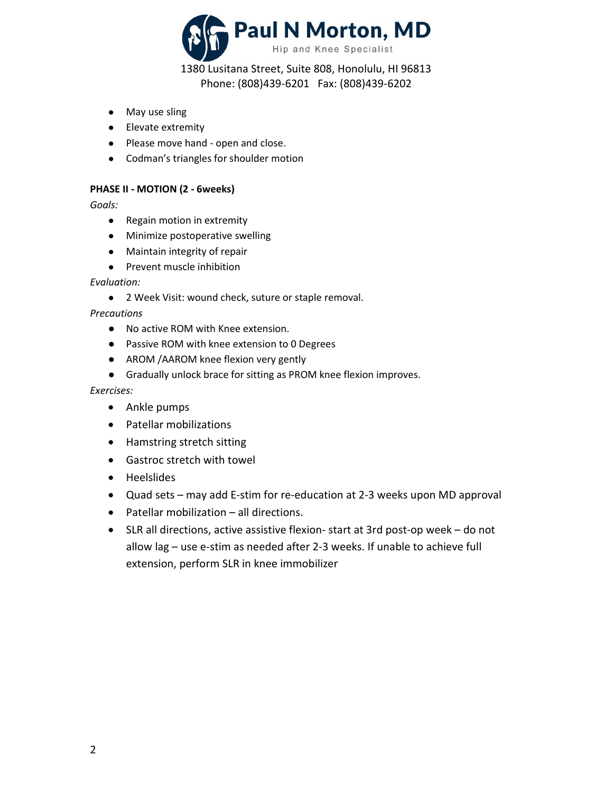

1380 Lusitana Street, Suite 808, Honolulu, HI 96813 Phone: (808)439-6201 Fax: (808)439-6202

- May use sling
- Elevate extremity
- Please move hand open and close.
- Codman's triangles for shoulder motion

## PHASE II - MOTION (2 - 6weeks)

Goals:

- Regain motion in extremity
- Minimize postoperative swelling
- Maintain integrity of repair
- Prevent muscle inhibition

#### Evaluation:

● 2 Week Visit: wound check, suture or staple removal.

Precautions

- No active ROM with Knee extension.
- Passive ROM with knee extension to 0 Degrees
- AROM /AAROM knee flexion very gently
- Gradually unlock brace for sitting as PROM knee flexion improves.

#### Exercises:

- Ankle pumps
- Patellar mobilizations
- Hamstring stretch sitting
- Gastroc stretch with towel
- Heelslides
- Quad sets may add E-stim for re-education at 2-3 weeks upon MD approval
- Patellar mobilization all directions.
- SLR all directions, active assistive flexion- start at 3rd post-op week do not allow lag – use e-stim as needed after 2-3 weeks. If unable to achieve full extension, perform SLR in knee immobilizer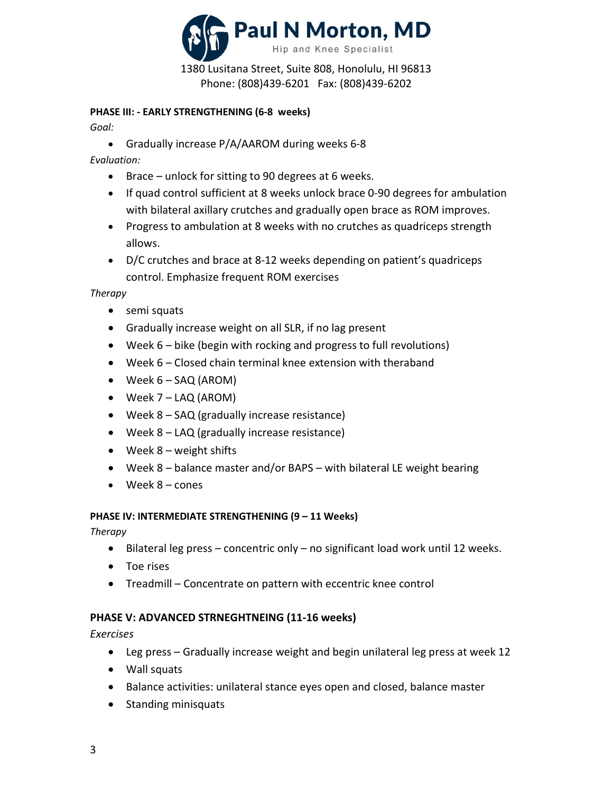

Phone: (808)439-6201 Fax: (808)439-6202

# PHASE III: - EARLY STRENGTHENING (6-8 weeks)

Goal:

Gradually increase P/A/AAROM during weeks 6-8

Evaluation:

- Brace unlock for sitting to 90 degrees at 6 weeks.
- If quad control sufficient at 8 weeks unlock brace 0-90 degrees for ambulation with bilateral axillary crutches and gradually open brace as ROM improves.
- Progress to ambulation at 8 weeks with no crutches as quadriceps strength allows.
- D/C crutches and brace at 8-12 weeks depending on patient's quadriceps control. Emphasize frequent ROM exercises

**Therapy** 

- semi squats
- Gradually increase weight on all SLR, if no lag present
- Week 6 bike (begin with rocking and progress to full revolutions)
- Week 6 Closed chain terminal knee extension with theraband
- Week 6 SAQ (AROM)
- Week 7 LAQ (AROM)
- Week 8 SAQ (gradually increase resistance)
- Week 8 LAQ (gradually increase resistance)
- $\bullet$  Week 8 weight shifts
- Week 8 balance master and/or BAPS with bilateral LE weight bearing
- Week 8 cones

## PHASE IV: INTERMEDIATE STRENGTHENING (9 – 11 Weeks)

**Therapy** 

- Bilateral leg press concentric only no significant load work until 12 weeks.
- Toe rises
- Treadmill Concentrate on pattern with eccentric knee control

# PHASE V: ADVANCED STRNEGHTNEING (11-16 weeks)

Exercises

- Leg press Gradually increase weight and begin unilateral leg press at week 12
- Wall squats
- Balance activities: unilateral stance eyes open and closed, balance master
- Standing minisquats